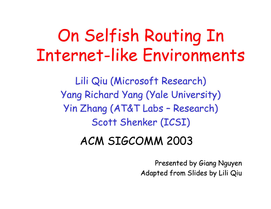# On Selfish Routing In Internet-like Environments

Lili Qiu (Microsoft Research) Yang Richard Yang (Yale University) Yin Zhang (AT&T Labs – Research) Scott Shenker (ICSI)

#### ACM SIGCOMM 2003

Presented by Giang Nguyen Adapted from Slides by Lili Qiu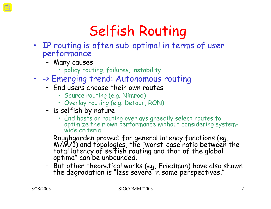## Selfish Routing

- IP routing is often sub-optimal in terms of user performance
	- Many causes
		- policy routing, failures, instability
- -> Emerging trend: Autonomous routing
	- End users choose their own routes
		- Source routing (e.g. Nimrod)
		- Overlay routing (e.g. Detour, RON)
	- is selfish by nature
		- End hosts or routing overlays greedily select routes to optimize their own performance without considering systemwide criteria
	- Roughgarden proved: for general latency functions (eg, M/M/1) and topologies, the "worst-case ratio between the total latency of selfish routing and that of the global optima" can be unbounded.
	- But other theoretical works (eg, Friedman) have also shown the degradation is "less severe in some perspectives."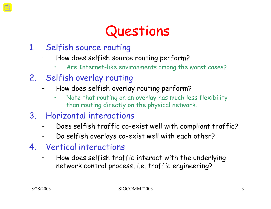### Questions

- 1. Selfish source routing
	- How does selfish source routing perform?
		- Are Internet-like environments among the worst cases?
- 2. Selfish overlay routing
	- How does selfish overlay routing perform?
		- Note that routing on an overlay has much less flexibility than routing directly on the physical network.
- 3. Horizontal interactions
	- Does selfish traffic co-exist well with compliant traffic?
	- Do selfish overlays co-exist well with each other?
- 4. Vertical interactions
	- How does selfish traffic interact with the underlying network control process, i.e. traffic engineering?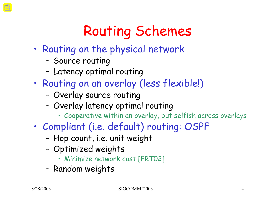## Routing Schemes

- Routing on the physical network
	- Source routing
	- Latency optimal routing
- Routing on an overlay (less flexible!)
	- Overlay source routing
	- Overlay latency optimal routing
		- Cooperative within an overlay, but selfish across overlays
- Compliant (i.e. default) routing: OSPF
	- Hop count, i.e. unit weight
	- Optimized weights
		- Minimize network cost [FRT02]
	- Random weights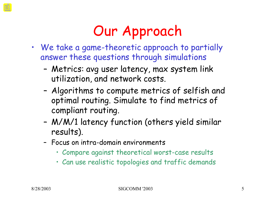## Our Approach

- We take a game-theoretic approach to partially answer these questions through simulations
	- Metrics: avg user latency, max system link utilization, and network costs.
	- Algorithms to compute metrics of selfish and optimal routing. Simulate to find metrics of compliant routing.
	- M/M/1 latency function (others yield similar results).
	- Focus on intra-domain environments
		- Compare against theoretical worst-case results
		- Can use realistic topologies and traffic demands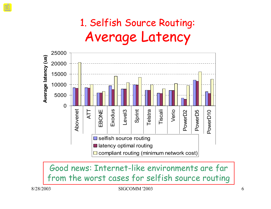#### 1. Selfish Source Routing: Average Latency



Good news: Internet-like environments are far from the worst cases for selfish source routing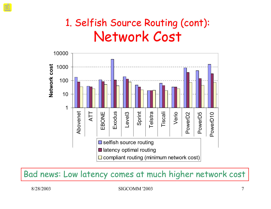#### 1. Selfish Source Routing (cont): Network Cost



Bad news: Low latency comes at much higher network cost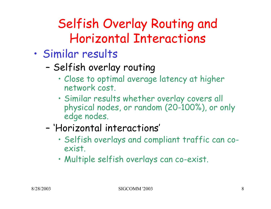### Selfish Overlay Routing and Horizontal Interactions

- Similar results
	- Selfish overlay routing
		- Close to optimal average latency at higher network cost.
		- Similar results whether overlay covers all physical nodes, or random (20-100%), or only edge nodes.
	- 'Horizontal interactions'
		- Selfish overlays and compliant traffic can coexist.
		- Multiple selfish overlays can co-exist.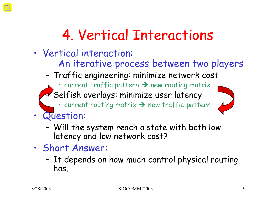## 4. Vertical Interactions

- Vertical interaction:
	- An iterative process between two players
	- Traffic engineering: minimize network cost
		- current traffic pattern  $\rightarrow$  new routing matrix – Selfish overlays: minimize user latency
			-
			- $\cdot$  current routing matrix  $\rightarrow$  new traffic pattern
- Question:
	- Will the system reach a state with both low latency and low network cost?
- Short Answer:
	- It depends on how much control physical routing has.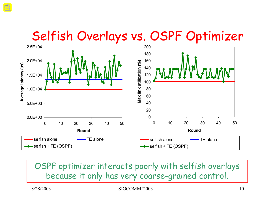#### Selfish Overlays vs. OSPF Optimizer



OSPF optimizer interacts poorly with selfish overlays because it only has very coarse-grained control.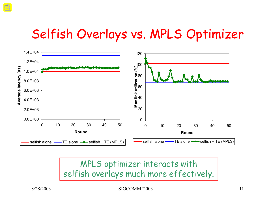#### Selfish Overlays vs. MPLS Optimizer



MPLS optimizer interacts with selfish overlays much more effectively.